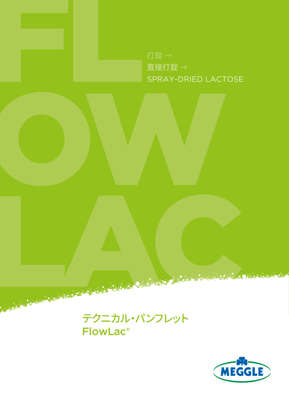

OW

直接打錠 → SPRAY-DRIED LACTOSE



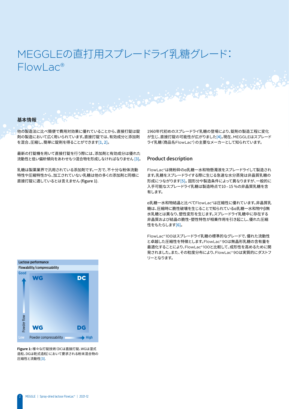# MEGGLEの直打用スプレードライ乳糖グレード: FlowLac®

#### 基本情報

他の製造法に比べ簡便で費用対効果に優れていることから、直接打錠は錠 剤の製造において広く用いられています。直接打錠では、有効成分と添加剤 を混合、圧縮し、簡単に錠剤を得ることができます[1, 2]。

最新の打錠機を用いて直接打錠を行う際には、添加剤と有効成分は優れた 流動性と低い偏析傾向をあわせもつ混合物を形成しなければなりません [3]。

乳糖は製薬業界で汎用されている添加剤です。一方で、不十分な粉体流動 特性や圧縮特性から、加工されていない乳糖は他の多くの添加剤と同様に 直接打錠に適しているとは言えません (figure 1).

1960年代初めのスプレードライ乳糖の登場により、錠剤の製造工程に変化 が生じ、直接打錠の可能性が広がりました[4]。現在、MEGGLEはスプレード ライ乳糖(商品名FlowLac®)の主要なメーカーとして知られています。

#### Product description

FlowLac®は微粉砕のα乳糖一水和物懸濁液をスプレードライして製造され ます。乳糖をスプレードライする際に生じる急速な水分蒸発は非晶質乳糖の 形成につながります[5]。 固形分や製造条件によって異なりますが、一般的に 入手可能なスプレードライ乳糖は製造時点で10–15 %の非晶質乳糖を含 有します。

α乳糖一水和物結晶と比べてFlowLac®は圧縮性に優れています。非晶質乳 糖は、圧縮時に脆性破壊を生じることで知られているα乳糖一水和物やβ無 水乳糖とは異なり、塑性変形を生じます。スプレードライ乳糖中に存在する 非晶質および結晶の脆性・塑性特性が相乗作用を引き起こし、優れた圧縮 性をもたらします[6]。

FlowLac® 100はスプレードライ乳糖の標準的なグレードで、優れた流動性 と卓越した圧縮性を特徴とします。FlowLac® 90は無晶形乳糖の含有量を 最適化することにより、FlowLac® 100と比較して、成形性を高めるために開 発されました。また、その粒度分布により、FlowLac® 90は実質的にダストフ リーとなります。



**Figure 1:** 様々な打錠技術(DCは直接打錠、WGは湿式 造粒、DGは乾式造粒)において要求される粉末混合物の 圧縮性と流動性[3].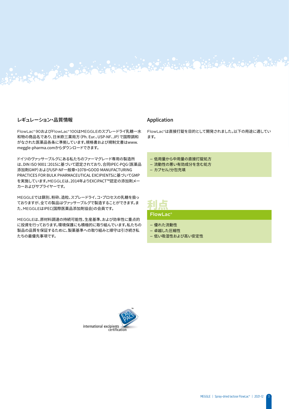# レギュレーション・品質情報

FlowLac® 90およびFlowLac® 100はMEGGLEのスプレードライ乳糖一水 和物の商品名であり、日米欧三薬局方(Ph. Eur.、USP-NF、JP)で国際調和 がなされた医薬品各条に準拠しています。規格書および規制文書はwww. meggle-pharma.comからダウンロードできます。

Lingua de Citat de Constantino de

ドイツのヴァッサーブルグにある私たちのファーマグレード専用の製造所 は、DIN ISO 9001:2015に基づいて認定されており、合同IPEC-PQG(医薬品 添加剤GMP)およびUSP-NF一般章<1078>GOOD MANUFACTURING PRACTICES FOR BULK PHARMACEUTICAL EXCIPIENTSに基づいてGMP を実施しています。MEGGLEは、2014年よりEXCiPACT™認定の添加剤メー カーおよびサプライヤーです。

MEGGLEでは篩別、粉砕、造粒、スプレードライ、コ・プロセスの乳糖を扱っ ておりますが、全ての製品はヴァッサーブルグで製造することができます。ま た、MEGGLEはIPEC(国際医薬品添加剤協会)の会員です。

MEGGLEは、原材料調達の持続可能性、生産基準、および効率性に重点的 に投資を行っております。環境保護にも積極的に取り組んでいます。私たちの 製品の品質を保証するために、製薬基準への取り組みと順守は引き続き私 たちの最優先事項です。

## Application

FlowLac®は直接打錠を目的として開発されました。以下の用途に適してい ます。

— 低用量から中用量の直接打錠処方

— 流動性の悪い有効成分を含む処方

— カプセル/分包充填

# 利点

FlowLac®

- 優れた流動性
- 卓越した圧縮性
- 低い吸湿性および高い安定性

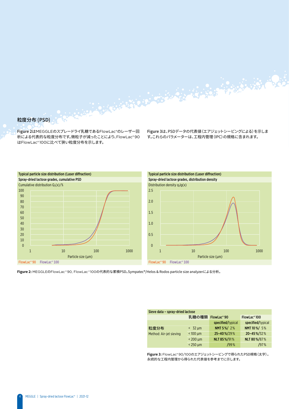# 粒度分布 (PSD)

Figure 2はMEGGLEのスプレードライ乳糖であるFlowLac®のレーザー回 析による代表的な粒度分布です。微粒子が減ったことにより、FlowLac® 90 はFlowLac® 100に比べて狭い粒度分布を示します。

Figure 3は、PSDデータの代表値(エアジェットシービングによる)を示しま す。これらのパラメーターは、工程内管理(IPC)の規格に含まれます。

A BERTH AND THE RESIDENCE OF A BANK AND THE RESIDENCE OF A





**Figure 2:** MEGGLEのFlowLac ® 90, FlowLac ® 100の代表的な累積PSD。Sympatec®/Helos & Rodos particle size analyzerによる分析。

| Sieve data - spray-dried lactose |                |                         |                          |  |  |  |
|----------------------------------|----------------|-------------------------|--------------------------|--|--|--|
|                                  | 乳糖の種類          | FlowLac <sup>®</sup> 90 | FlowLac <sup>®</sup> 100 |  |  |  |
|                                  |                | specified/typical       | specified/typical        |  |  |  |
| 粒度分布                             | $<$ 32 $\mu$ m | NMT 5%/2%               | NMT 10 %/ 5%             |  |  |  |
| Method: Air-jet sieving          | $< 100 \mu m$  | 25-40%/29%              | 20-45%/32%               |  |  |  |
|                                  | $< 200 \mu m$  | <b>NLT 85%/91%</b>      | NLT 80%/87%              |  |  |  |
|                                  | $< 250 \mu m$  | 199%                    | 197%                     |  |  |  |

**Figure 3:** FlowLac® 90/100のエアジェットシービングで得られたPSD規格(太字)。 永続的な工程内管理から得られた代表値を参考までに示します。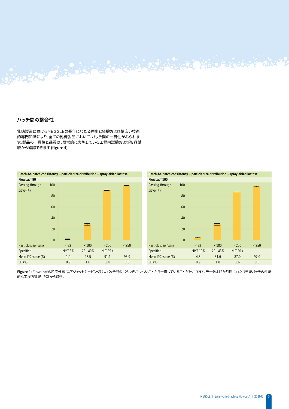# バッチ間の整合性

乳糖製造におけるMEGGLEの長年にわたる歴史と経験および幅広い技術 的専門知識により、全ての乳糖製品において、バッチ間の一貫性がみられま す。製品の一貫性と品質は、恒常的に実施している工程内試験および製品試 験から確認できます (figure 4).

Senator Barbara Contractor





 $\frac{1}{2}$ 

**-Igure 4:** FlowLac®の粒度方布(エアンエットソーヒンク)は、ハッチ面のは*『 time period of 12 months.* 的な工程内管理(IPC)から取得。 *Data obtained from a permanent in-process-control (IPC) of subsequent batches over a*  **Figure 4:** FlowLac®の粒度分布(エアジェットシービング)は、バッチ間のばらつきが少ないことから一貫していることが分かります。データは12か月間にわたり連続バッチの永続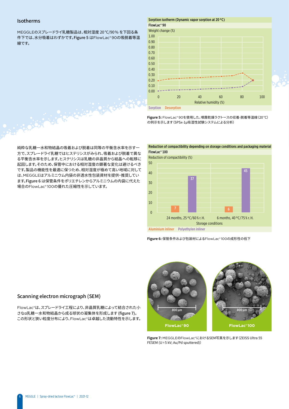### Isotherms

MEGGLEのスプレードライ乳糖製品は、相対湿度 20°C/90% を下回る条 件下では、水分吸着はわずかです。Figure 5 はFlowLac® 90の吸脱着等温 線です。

#### Sorption isotherm (Dynamic vapor sorption at 20 °C) FlowLac® 90



Sorption Desorption

**Figure 5:** FlowLac® 90を使用した、噴霧乾燥ラクトースの収着-脱着等温線(20°C) の例示を示します(SPSx-1μ吸湿性試験システムによる分析)

純粋な乳糖一水和物結晶の吸着および脱着は同等の平衡含水率を示す一 方で、スプレードライ乳糖ではヒステリシスがみられ、吸着および脱着で異な る平衡含水率を示します。ヒステリシスは乳糖の非晶質から結晶への転移に 起因します。そのため、保管中における相対湿度の顕著な変化は避けるべき です。製品の機能性を最適に保つため、相対湿度が極めて高い地域に対して は、MEGGLEはアルミニウム内袋の非透水性包装資材を提供・推奨してい ます。Figure 6 は保管条件をポリエチレンからアルミニウムの内袋に代えた 場合のFlowLac® 100の優れた圧縮性を示しています。

ARANG BARA





**Figure 6:** 保管条件および包装材によるFlowLac® 100の成形性の低下

#### Scanning electron micrograph (SEM)

FlowLac®は、スプレードライ工程により、非晶質乳糖によって結合された小 さなα乳糖一水和物結晶から成る球状の凝集体を形成します (figure 7)。 この形状と狭い粒度分布により、FlowLac®は卓越した流動特性を示します。



**Figure 7:** MEGGLEのFlowLac®におけるSEM写真を示します(ZEISS Ultra 55 FESEM (U=5 kV; Au/Pd sputtered))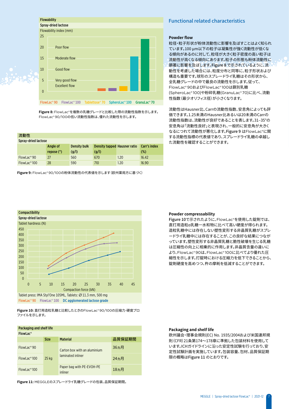

**Figure 8:** FlowLac®を複数の乳糖グレードと比較した際の流動性指数を示します。 FlowLac® 90/100の低い流動性指数は、優れた流動性を示します。

| 流動性                 |              |              |                              |      |              |  |  |
|---------------------|--------------|--------------|------------------------------|------|--------------|--|--|
| Spray-dried lactose |              |              |                              |      |              |  |  |
|                     | Angle of     | Density bulk | Density tapped Hausner ratio |      | Carr's index |  |  |
|                     |              |              |                              |      |              |  |  |
|                     | repose $(°)$ | (q/l)        | (g/l)                        |      | $(\%)$       |  |  |
| $FlowLoc^{\circ}90$ | 27           | 560          | 670                          | 1.20 | 16.42        |  |  |

**Figure 9:** FlowLac® 90/100の粉体流動性の代表値を示します(欧州薬局方に基づく)

# Functional related characteristics

#### **Powder flow**

粒径・粒子形状が粉体流動性に影響を及ぼすことはよく知られ ています。100 μm以下の粒子は凝集性が強く流動性が低くな る傾向があるのに対して、粒径が大きく粒子密度の高い粒子は 流動性が高くなる傾向にあります。粒子の形態も粉体流動性に 顕著に影響を及ぼします。Figure 8 で示されているように、流 動性を考慮した場合には、粒度分布と同等に、粒子形状および 構造も重要です。球形のスプレードライ乳糖はその形状から、 全乳糖グレードの中で最良の流動性を示します。従って、 FlowLac® 90およびFlowLac® 100は篩別乳糖 (SpheroLac® 100)や粉砕乳糖(GranuLac® 70)に比べ、流動 性指数(最少オリフィス径)が小さくなります。

流動性はHausner比、Carrの流動性指数、安息角によっても評 価できます。1.25未満のHausner比あるいは20未満のCarrの 流動性指数は、流動性が良好であることを表します。31–35°の 安息角は「流動性良好」と表現され、一般的に安息角が大きく なるにつれて流動性が悪化します。Figure 9 はFlowLac®に関 する流動性指標の代表値であり、スプレードライ乳糖の卓越し た流動性を確認することができます。



**Figure 10:** 直打用造粒乳糖と比較したときのFlowLac® 90/100の圧縮力-硬度プロ ファイルを示します。

| Packaging and shelf life |                  |                                                   |        |  |  |  |
|--------------------------|------------------|---------------------------------------------------|--------|--|--|--|
| FlowLac <sup>®</sup>     |                  |                                                   |        |  |  |  |
|                          | <b>Size</b>      | <b>Material</b>                                   | 品質保証期間 |  |  |  |
| $FlowLoc^{\circ}90$      |                  | Carton box with an aluminium<br>laminated inliner | 36ヵ月   |  |  |  |
| $FlowLoc^{\circ}100$     | 25 <sub>ka</sub> |                                                   | 24ヵ月   |  |  |  |
| $FlowLoc^{\circ}100$     |                  | Paper bag with PE-EVOH-PE<br>inliner              | 18ヵ月   |  |  |  |

**Figure 11:** MEGGLEのスプレードライ乳糖グレードの包装、品質保証期間。

#### **Powder compressability**

Figure 10で示されたように、FlowLac®を使用した錠剤では、 直打用造粒α乳糖一水和物に比べて高い硬度が得られます。 造粒乳糖中には存在しない塑性変形する非晶質乳糖がスプレ ードライ乳糖中には存在することが、この良好な結果につなが っています。塑性変形する非晶質乳糖と脆性破壊を生じる乳糖 は圧縮性の向上に相乗的に作用します。非晶質含量の違いに より、FlowLac® 90は、FlowLac® 100に比べてより優れた圧 縮性を示します。打錠時における圧縮力を低下できることから、 錠剤硬度を高めつつ、杵の摩耗を低減することができます。

#### **Packaging and shelf life**

欧州議会・理事会規則(EC) No. 1935/2004および米国連邦規 則(CFR)21条第174~178章に準拠した包装材料を使用して います。ICHガイドラインに沿った安定性試験を行っており、安 定性試験計画を実施しています。包装容量、包材、品質保証期 限の概略はFigure 11 のとおりです。

7